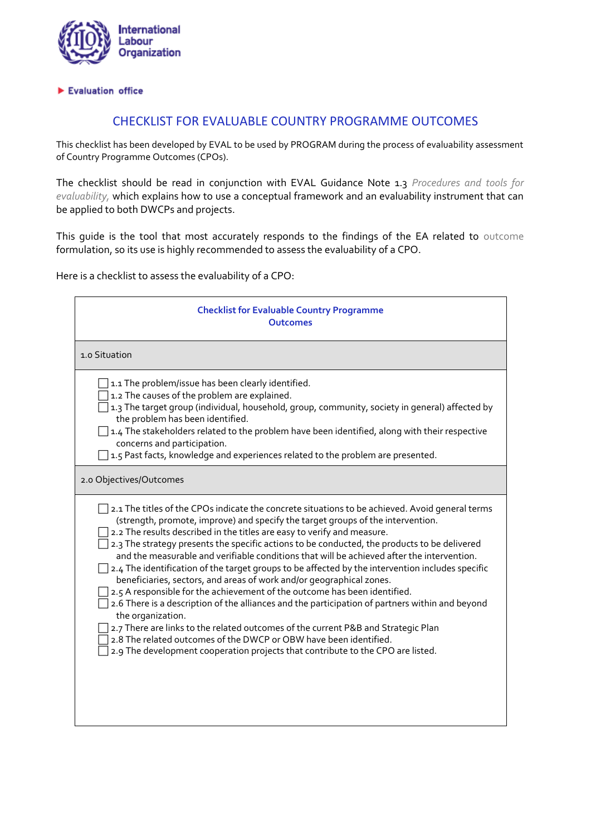

## Evaluation office

## CHECKLIST FOR EVALUABLE COUNTRY PROGRAMME OUTCOMES

This checklist has been developed by EVAL to be used by PROGRAM during the process of evaluability assessment of Country Programme Outcomes (CPOs).

The checklist should be read in conjunction with EVAL Guidance Note 1.3 *[Procedures and tools for](http://www.ilo.org/wcmsp5/groups/public/---ed_mas/---eval/documents/publication/wcms_165984.pdf)  [evaluability,](http://www.ilo.org/wcmsp5/groups/public/---ed_mas/---eval/documents/publication/wcms_165984.pdf)* which explains how to use a conceptual framework and an evaluability instrument that can be applied to both DWCPs and projects.

This guide is the tool that most accurately responds to the findings of the EA related to outcome formulation, so its use is highly recommended to assess the evaluability of a CPO.

Here is a checklist to assess the evaluability of a CPO:

| <b>Checklist for Evaluable Country Programme</b><br><b>Outcomes</b>                                                                                                                                                                                                                                                                                                                                                                                                                                                                                                                                                                                                                                                                                                                                                                                                                                                                                                                                                                                                                              |
|--------------------------------------------------------------------------------------------------------------------------------------------------------------------------------------------------------------------------------------------------------------------------------------------------------------------------------------------------------------------------------------------------------------------------------------------------------------------------------------------------------------------------------------------------------------------------------------------------------------------------------------------------------------------------------------------------------------------------------------------------------------------------------------------------------------------------------------------------------------------------------------------------------------------------------------------------------------------------------------------------------------------------------------------------------------------------------------------------|
| 1.0 Situation                                                                                                                                                                                                                                                                                                                                                                                                                                                                                                                                                                                                                                                                                                                                                                                                                                                                                                                                                                                                                                                                                    |
| 1.1 The problem/issue has been clearly identified.<br>1.2 The causes of the problem are explained.<br>1.3 The target group (individual, household, group, community, society in general) affected by<br>the problem has been identified.<br>1.4 The stakeholders related to the problem have been identified, along with their respective<br>concerns and participation.<br>1.5 Past facts, knowledge and experiences related to the problem are presented.                                                                                                                                                                                                                                                                                                                                                                                                                                                                                                                                                                                                                                      |
| 2.0 Objectives/Outcomes                                                                                                                                                                                                                                                                                                                                                                                                                                                                                                                                                                                                                                                                                                                                                                                                                                                                                                                                                                                                                                                                          |
| 2.1 The titles of the CPOs indicate the concrete situations to be achieved. Avoid general terms<br>(strength, promote, improve) and specify the target groups of the intervention.<br>2.2 The results described in the titles are easy to verify and measure.<br>2.3 The strategy presents the specific actions to be conducted, the products to be delivered<br>and the measurable and verifiable conditions that will be achieved after the intervention.<br>$\Box$ 2.4 The identification of the target groups to be affected by the intervention includes specific<br>beneficiaries, sectors, and areas of work and/or geographical zones.<br>2.5 A responsible for the achievement of the outcome has been identified.<br>2.6 There is a description of the alliances and the participation of partners within and beyond<br>the organization.<br>2.7 There are links to the related outcomes of the current P&B and Strategic Plan<br>2.8 The related outcomes of the DWCP or OBW have been identified.<br>2.9 The development cooperation projects that contribute to the CPO are listed. |